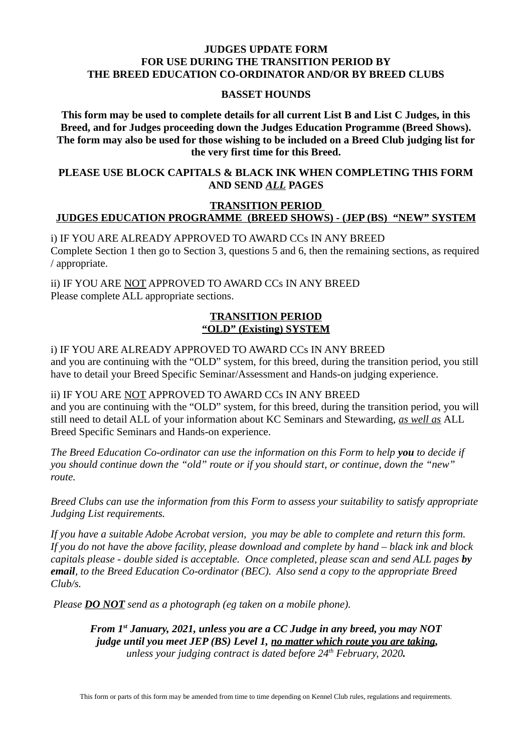#### **JUDGES UPDATE FORM FOR USE DURING THE TRANSITION PERIOD BY THE BREED EDUCATION CO-ORDINATOR AND/OR BY BREED CLUBS**

#### **BASSET HOUNDS**

**This form may be used to complete details for all current List B and List C Judges, in this Breed, and for Judges proceeding down the Judges Education Programme (Breed Shows). The form may also be used for those wishing to be included on a Breed Club judging list for the very first time for this Breed.** 

#### **PLEASE USE BLOCK CAPITALS & BLACK INK WHEN COMPLETING THIS FORM AND SEND** *ALL* **PAGES**

#### **TRANSITION PERIOD JUDGES EDUCATION PROGRAMME (BREED SHOWS) - (JEP (BS) "NEW" SYSTEM**

i) IF YOU ARE ALREADY APPROVED TO AWARD CCs IN ANY BREED Complete Section 1 then go to Section 3, questions 5 and 6, then the remaining sections, as required / appropriate.

ii) IF YOU ARE NOT APPROVED TO AWARD CCs IN ANY BREED Please complete ALL appropriate sections.

#### **TRANSITION PERIOD "OLD" (Existing) SYSTEM**

i) IF YOU ARE ALREADY APPROVED TO AWARD CCs IN ANY BREED and you are continuing with the "OLD" system, for this breed, during the transition period, you still have to detail your Breed Specific Seminar/Assessment and Hands-on judging experience.

ii) IF YOU ARE NOT APPROVED TO AWARD CCs IN ANY BREED and you are continuing with the "OLD" system, for this breed, during the transition period, you will still need to detail ALL of your information about KC Seminars and Stewarding, *as well as* ALL Breed Specific Seminars and Hands-on experience.

*The Breed Education Co-ordinator can use the information on this Form to help you to decide if you should continue down the "old" route or if you should start, or continue, down the "new" route.* 

*Breed Clubs can use the information from this Form to assess your suitability to satisfy appropriate Judging List requirements.*

*If you have a suitable Adobe Acrobat version, you may be able to complete and return this form. If you do not have the above facility, please download and complete by hand – black ink and block capitals please - double sided is acceptable. Once completed, please scan and send ALL pages by email, to the Breed Education Co-ordinator (BEC). Also send a copy to the appropriate Breed Club/s.* 

*Please DO NOT send as a photograph (eg taken on a mobile phone).*

*From 1st January, 2021, unless you are a CC Judge in any breed, you may NOT judge until you meet JEP (BS) Level 1, no matter which route you are taking, unless your judging contract is dated before 24th February, 2020.*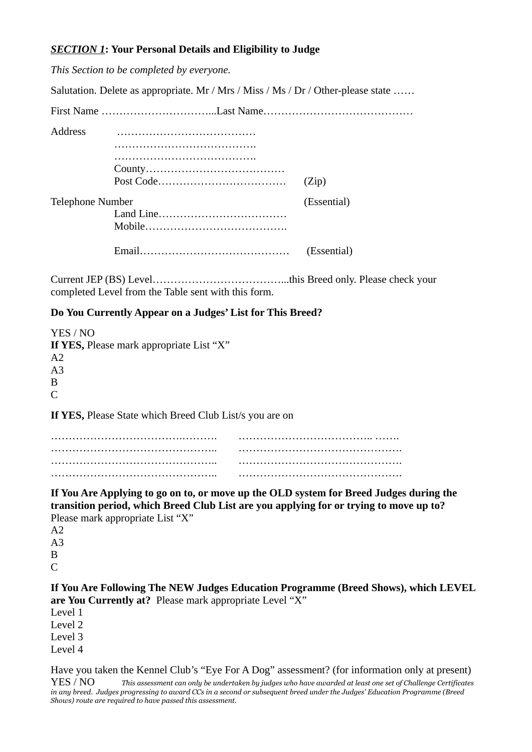## *SECTION 1***: Your Personal Details and Eligibility to Judge**

|                                                                   | This Section to be completed by everyone.                                                                                                                                                                            |             |
|-------------------------------------------------------------------|----------------------------------------------------------------------------------------------------------------------------------------------------------------------------------------------------------------------|-------------|
|                                                                   | Salutation. Delete as appropriate. Mr / Mrs / Miss / Ms / Dr / Other-please state                                                                                                                                    |             |
|                                                                   |                                                                                                                                                                                                                      |             |
| <b>Address</b>                                                    |                                                                                                                                                                                                                      | (Zip)       |
| <b>Telephone Number</b>                                           |                                                                                                                                                                                                                      | (Essential) |
|                                                                   |                                                                                                                                                                                                                      | (Essential) |
|                                                                   | completed Level from the Table sent with this form.                                                                                                                                                                  |             |
|                                                                   | Do You Currently Appear on a Judges' List for This Breed?                                                                                                                                                            |             |
| YES / NO<br>A <sub>2</sub><br>A <sub>3</sub><br>B<br>$\mathsf{C}$ | If YES, Please mark appropriate List "X"                                                                                                                                                                             |             |
|                                                                   | If YES, Please State which Breed Club List/s you are on                                                                                                                                                              |             |
| A <sub>2</sub><br>A <sub>3</sub><br>B                             | If You Are Applying to go on to, or move up the OLD system for Breed Judges during the<br>transition period, which Breed Club List are you applying for or trying to move up to?<br>Please mark appropriate List "X" |             |
| $\mathsf{C}$                                                      |                                                                                                                                                                                                                      |             |

**If You Are Following The NEW Judges Education Programme (Breed Shows), which LEVEL are You Currently at?** Please mark appropriate Level "X"

Level 1 Level 2 Level 3 Level 4

Have you taken the Kennel Club's "Eye For A Dog" assessment? (for information only at present) YES / NO *This assessment can only be undertaken by judges who have awarded at least one set of Challenge Certificates in any breed. Judges progressing to award CCs in a second or subsequent breed under the Judges' Education Programme (Breed Shows) route are required to have passed this assessment.*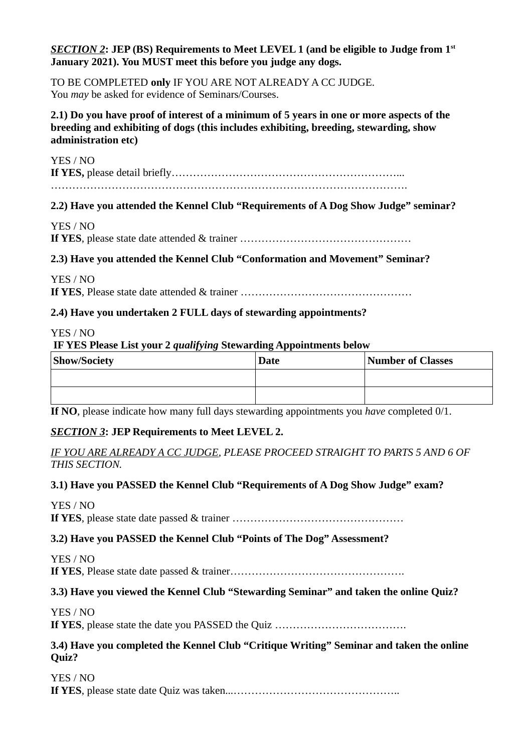## *SECTION 2***: JEP (BS) Requirements to Meet LEVEL 1 (and be eligible to Judge from 1st January 2021). You MUST meet this before you judge any dogs.**

TO BE COMPLETED **only** IF YOU ARE NOT ALREADY A CC JUDGE. You *may* be asked for evidence of Seminars/Courses.

## **2.1) Do you have proof of interest of a minimum of 5 years in one or more aspects of the breeding and exhibiting of dogs (this includes exhibiting, breeding, stewarding, show administration etc)**

#### YES / NO

**If YES,** please detail briefly………………………………………………………...

……………………………………………………………………………………….

# **2.2) Have you attended the Kennel Club "Requirements of A Dog Show Judge" seminar?**

# YES / NO

**If YES**, please state date attended & trainer …………………………………………

# **2.3) Have you attended the Kennel Club "Conformation and Movement" Seminar?**

YES / NO **If YES**, Please state date attended & trainer …………………………………………

## **2.4) Have you undertaken 2 FULL days of stewarding appointments?**

## YES / NO

**IF YES Please List your 2** *qualifying* **Stewarding Appointments below**

| <b>Show/Society</b> | <b>Date</b> | Number of Classes |
|---------------------|-------------|-------------------|
|                     |             |                   |
|                     |             |                   |

**If NO**, please indicate how many full days stewarding appointments you *have* completed 0/1.

# *SECTION 3***: JEP Requirements to Meet LEVEL 2.**

*IF YOU ARE ALREADY A CC JUDGE, PLEASE PROCEED STRAIGHT TO PARTS 5 AND 6 OF THIS SECTION.*

## **3.1) Have you PASSED the Kennel Club "Requirements of A Dog Show Judge" exam?**

YES / NO **If YES**, please state date passed & trainer …………………………………………

## **3.2) Have you PASSED the Kennel Club "Points of The Dog" Assessment?**

YES / NO **If YES**, Please state date passed & trainer………………………………………….

# **3.3) Have you viewed the Kennel Club "Stewarding Seminar" and taken the online Quiz?**

YES / NO

**If YES**, please state the date you PASSED the Quiz ……………………………….

## **3.4) Have you completed the Kennel Club "Critique Writing" Seminar and taken the online Quiz?**

YES / NO **If YES**, please state date Quiz was taken...………………………………………..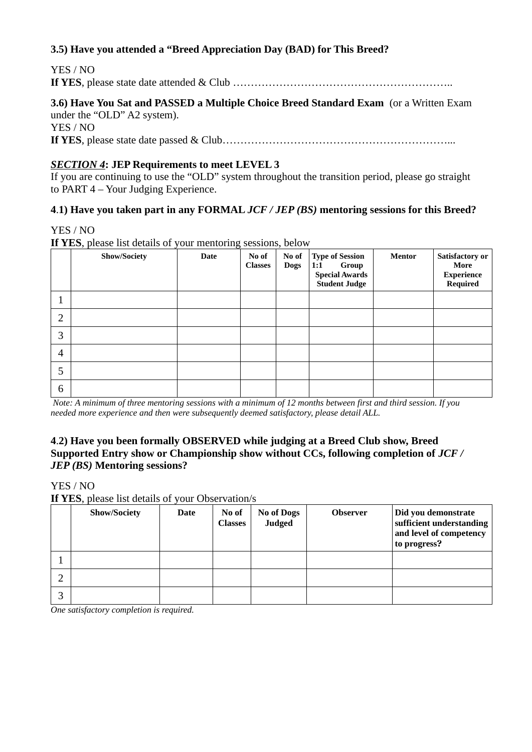## **3.5) Have you attended a "Breed Appreciation Day (BAD) for This Breed?**

| YES / NO |  |
|----------|--|
|          |  |

# **3.6) Have You Sat and PASSED a Multiple Choice Breed Standard Exam** (or a Written Exam under the "OLD" A2 system). YES / NO

**If YES**, please state date passed & Club………………………………………………………...

# *SECTION 4***: JEP Requirements to meet LEVEL 3**

If you are continuing to use the "OLD" system throughout the transition period, please go straight to PART 4 – Your Judging Experience.

## **4**.**1) Have you taken part in any FORMAL** *JCF / JEP (BS)* **mentoring sessions for this Breed?**

#### YES / NO

**If YES**, please list details of your mentoring sessions, below

|                | <b>Show/Society</b> | <b>Date</b> | No of<br><b>Classes</b> | No of<br><b>Dogs</b> | <b>Type of Session</b><br>1:1<br>Group<br><b>Special Awards</b><br>Student Judge | <b>Mentor</b> | Satisfactory or<br>More<br><b>Experience</b><br>Required |
|----------------|---------------------|-------------|-------------------------|----------------------|----------------------------------------------------------------------------------|---------------|----------------------------------------------------------|
| ┸              |                     |             |                         |                      |                                                                                  |               |                                                          |
| $\overline{2}$ |                     |             |                         |                      |                                                                                  |               |                                                          |
| 3              |                     |             |                         |                      |                                                                                  |               |                                                          |
| $\overline{4}$ |                     |             |                         |                      |                                                                                  |               |                                                          |
| 5              |                     |             |                         |                      |                                                                                  |               |                                                          |
| 6              |                     |             |                         |                      |                                                                                  |               |                                                          |

*Note: A minimum of three mentoring sessions with a minimum of 12 months between first and third session. If you needed more experience and then were subsequently deemed satisfactory, please detail ALL.*

## **4**.**2) Have you been formally OBSERVED while judging at a Breed Club show, Breed Supported Entry show or Championship show without CCs, following completion of** *JCF / JEP (BS)* **Mentoring sessions?**

#### YES / NO

**If YES**, please list details of your Observation/s

|    | <b>Show/Society</b> | <b>Date</b> | No of<br><b>Classes</b> | <b>No of Dogs</b><br>Judged | <b>Observer</b> | Did you demonstrate<br>sufficient understanding<br>and level of competency<br>to progress? |
|----|---------------------|-------------|-------------------------|-----------------------------|-----------------|--------------------------------------------------------------------------------------------|
|    |                     |             |                         |                             |                 |                                                                                            |
|    |                     |             |                         |                             |                 |                                                                                            |
| ิว |                     |             |                         |                             |                 |                                                                                            |

*One satisfactory completion is required.*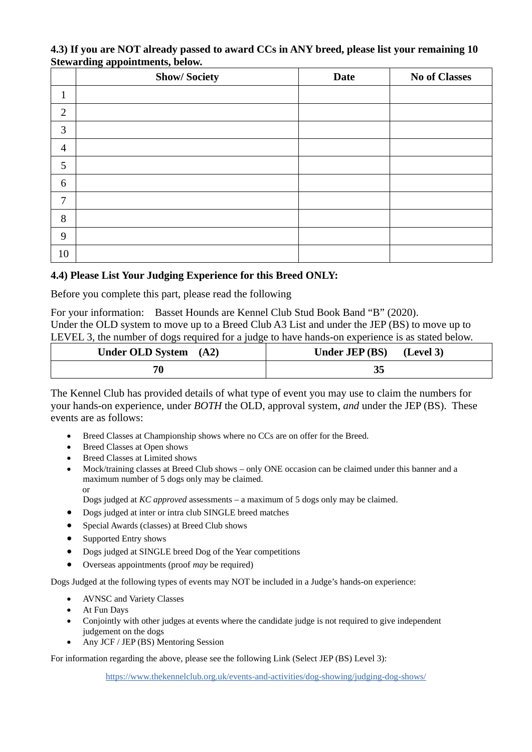#### **4.3) If you are NOT already passed to award CCs in ANY breed, please list your remaining 10 Stewarding appointments, below.**

|                | <b>Show/Society</b> | <b>Date</b> | <b>No of Classes</b> |
|----------------|---------------------|-------------|----------------------|
| $\mathbf{1}$   |                     |             |                      |
| $\overline{2}$ |                     |             |                      |
| 3              |                     |             |                      |
| $\overline{4}$ |                     |             |                      |
| 5              |                     |             |                      |
| 6              |                     |             |                      |
| 7              |                     |             |                      |
| 8              |                     |             |                      |
| 9              |                     |             |                      |
| $10\,$         |                     |             |                      |

# **4.4) Please List Your Judging Experience for this Breed ONLY:**

Before you complete this part, please read the following

For your information: Basset Hounds are Kennel Club Stud Book Band "B" (2020). Under the OLD system to move up to a Breed Club A3 List and under the JEP (BS) to move up to LEVEL 3, the number of dogs required for a judge to have hands-on experience is as stated below.

| Under OLD System (A2) | Under JEP (BS) (Level 3) |
|-----------------------|--------------------------|
| 70                    |                          |

The Kennel Club has provided details of what type of event you may use to claim the numbers for your hands-on experience, under *BOTH* the OLD, approval system, *and* under the JEP (BS). These events are as follows:

- Breed Classes at Championship shows where no CCs are on offer for the Breed.
- Breed Classes at Open shows
- Breed Classes at Limited shows
- Mock/training classes at Breed Club shows only ONE occasion can be claimed under this banner and a maximum number of 5 dogs only may be claimed. or

Dogs judged at *KC approved* assessments – a maximum of 5 dogs only may be claimed.

- Dogs judged at inter or intra club SINGLE breed matches
- Special Awards (classes) at Breed Club shows
- Supported Entry shows
- Dogs judged at SINGLE breed Dog of the Year competitions
- Overseas appointments (proof *may* be required)

Dogs Judged at the following types of events may NOT be included in a Judge's hands-on experience:

- AVNSC and Variety Classes
- At Fun Days
- Conjointly with other judges at events where the candidate judge is not required to give independent judgement on the dogs
- Any JCF / JEP (BS) Mentoring Session

For information regarding the above, please see the following Link (Select JEP (BS) Level 3):

<https://www.thekennelclub.org.uk/events-and-activities/dog-showing/judging-dog-shows/>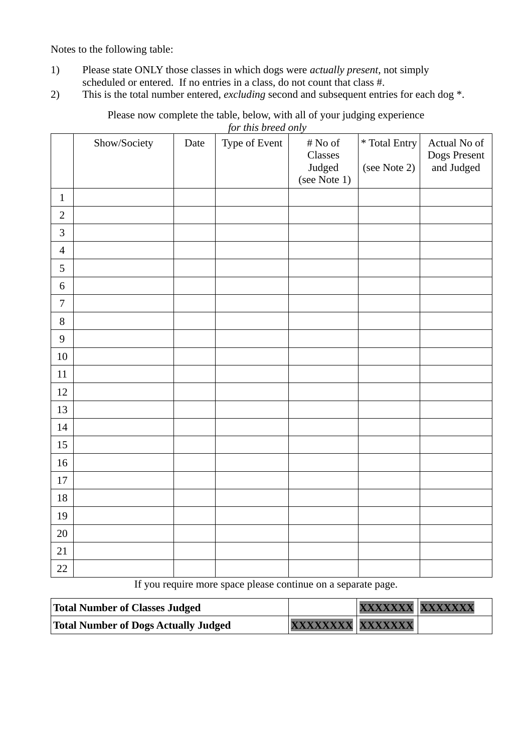Notes to the following table:

- 1) Please state ONLY those classes in which dogs were *actually present*, not simply scheduled or entered. If no entries in a class, do not count that class #.
- 2) This is the total number entered, *excluding* second and subsequent entries for each dog \*.

|                  |              |      | <u>for this breed only</u> |                                                 |                               |                                            |
|------------------|--------------|------|----------------------------|-------------------------------------------------|-------------------------------|--------------------------------------------|
|                  | Show/Society | Date | Type of Event              | $\#$ No of<br>Classes<br>Judged<br>(see Note 1) | * Total Entry<br>(see Note 2) | Actual No of<br>Dogs Present<br>and Judged |
| $\mathbf 1$      |              |      |                            |                                                 |                               |                                            |
| $\overline{2}$   |              |      |                            |                                                 |                               |                                            |
| $\mathbf{3}$     |              |      |                            |                                                 |                               |                                            |
| $\overline{4}$   |              |      |                            |                                                 |                               |                                            |
| $\mathsf S$      |              |      |                            |                                                 |                               |                                            |
| $\,6\,$          |              |      |                            |                                                 |                               |                                            |
| $\overline{7}$   |              |      |                            |                                                 |                               |                                            |
| $\, 8$           |              |      |                            |                                                 |                               |                                            |
| $\boldsymbol{9}$ |              |      |                            |                                                 |                               |                                            |
| $10\,$           |              |      |                            |                                                 |                               |                                            |
| $11\,$           |              |      |                            |                                                 |                               |                                            |
| 12               |              |      |                            |                                                 |                               |                                            |
| 13               |              |      |                            |                                                 |                               |                                            |
| 14               |              |      |                            |                                                 |                               |                                            |
| 15               |              |      |                            |                                                 |                               |                                            |
| 16               |              |      |                            |                                                 |                               |                                            |
| $17\,$           |              |      |                            |                                                 |                               |                                            |
| $18\,$           |              |      |                            |                                                 |                               |                                            |
| 19               |              |      |                            |                                                 |                               |                                            |
| $20\,$           |              |      |                            |                                                 |                               |                                            |
| 21               |              |      |                            |                                                 |                               |                                            |
| 22               |              |      |                            |                                                 |                               |                                            |

Please now complete the table, below, with all of your judging experience *for this breed only*

If you require more space please continue on a separate page.

| <b>Total Number of Classes Judged</b> |                  | XXXXXXX XXXXXXX |  |
|---------------------------------------|------------------|-----------------|--|
| Total Number of Dogs Actually Judged  | XXXXXXXX XXXXXXX |                 |  |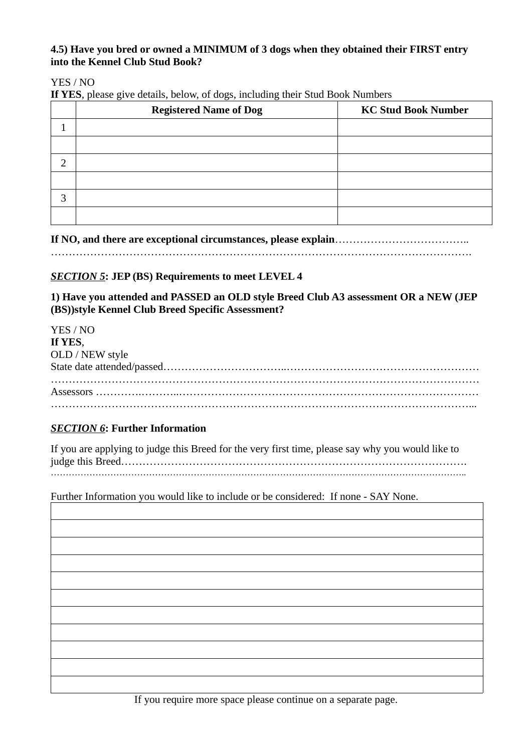# **4.5) Have you bred or owned a MINIMUM of 3 dogs when they obtained their FIRST entry into the Kennel Club Stud Book?**

## YES / NO

**If YES**, please give details, below, of dogs, including their Stud Book Numbers

|   | ັ<br>ັ<br><b>Registered Name of Dog</b> | <b>KC Stud Book Number</b> |
|---|-----------------------------------------|----------------------------|
|   |                                         |                            |
|   |                                         |                            |
| n |                                         |                            |
|   |                                         |                            |
| 3 |                                         |                            |
|   |                                         |                            |

**If NO, and there are exceptional circumstances, please explain**………………………………..

……………………………………………………………………………………………………….

# *SECTION 5***: JEP (BS) Requirements to meet LEVEL 4**

**1) Have you attended and PASSED an OLD style Breed Club A3 assessment OR a NEW (JEP (BS))style Kennel Club Breed Specific Assessment?**

| YES / NO        |  |
|-----------------|--|
| If YES,         |  |
| OLD / NEW style |  |
|                 |  |
|                 |  |
|                 |  |
|                 |  |

## *SECTION 6***: Further Information**

| If you are applying to judge this Breed for the very first time, please say why you would like to |
|---------------------------------------------------------------------------------------------------|
|                                                                                                   |
|                                                                                                   |

Further Information you would like to include or be considered: If none - SAY None.



If you require more space please continue on a separate page.